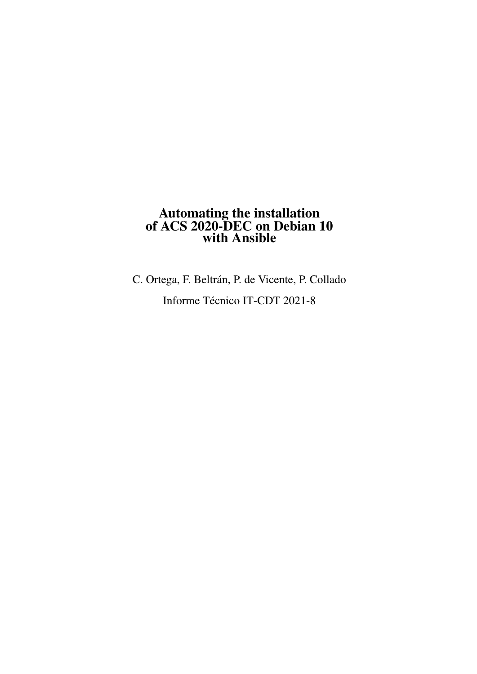### Automating the installation of ACS 2020-DEC on Debian 10 with Ansible

C. Ortega, F. Beltrán, P. de Vicente, P. Collado Informe Técnico IT-CDT 2021-8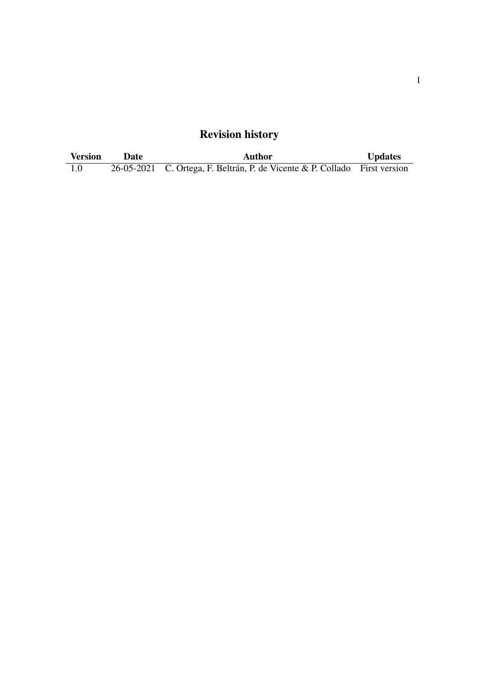# Revision history

| <b>Version</b> | <b>Date</b> | Author                                                                     | <b>Updates</b> |
|----------------|-------------|----------------------------------------------------------------------------|----------------|
| 1.0            |             | 26-05-2021 C. Ortega, F. Beltrán, P. de Vicente & P. Collado First version |                |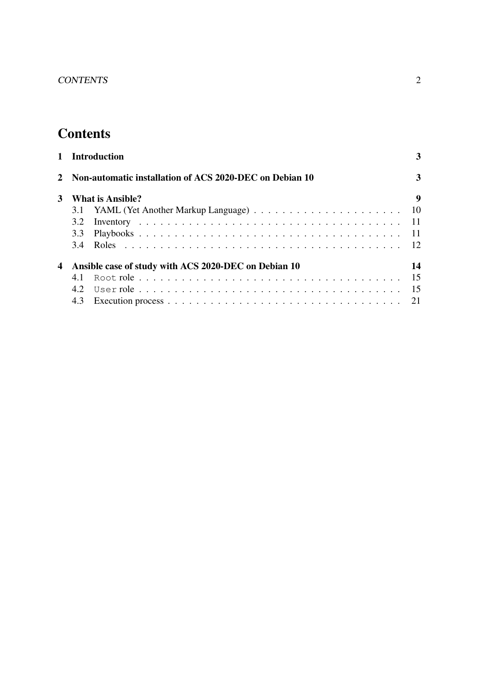# **Contents**

| $\mathbf{1}$ | <b>Introduction</b>                                     | 3     |  |  |  |  |
|--------------|---------------------------------------------------------|-------|--|--|--|--|
|              | Non-automatic installation of ACS 2020-DEC on Debian 10 | 3     |  |  |  |  |
| 3            | What is Ansible?                                        |       |  |  |  |  |
|              |                                                         | 10    |  |  |  |  |
|              | 3.2                                                     | $-11$ |  |  |  |  |
|              | 3.3                                                     | $-11$ |  |  |  |  |
|              | 3.4                                                     |       |  |  |  |  |
| 4            | Ansible case of study with ACS 2020-DEC on Debian 10    |       |  |  |  |  |
|              | 4.1                                                     | 15    |  |  |  |  |
|              | 4.2                                                     | 15    |  |  |  |  |
|              |                                                         | 21    |  |  |  |  |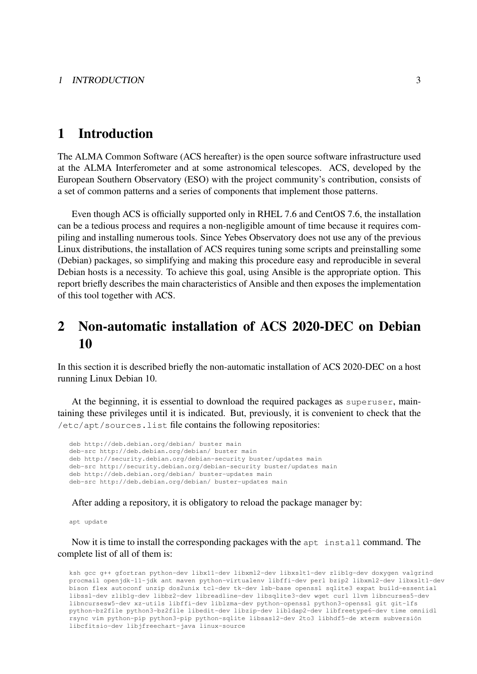### 1 Introduction

The ALMA Common Software (ACS hereafter) is the open source software infrastructure used at the ALMA Interferometer and at some astronomical telescopes. ACS, developed by the European Southern Observatory (ESO) with the project community's contribution, consists of a set of common patterns and a series of components that implement those patterns.

Even though ACS is officially supported only in RHEL 7.6 and CentOS 7.6, the installation can be a tedious process and requires a non-negligible amount of time because it requires compiling and installing numerous tools. Since Yebes Observatory does not use any of the previous Linux distributions, the installation of ACS requires tuning some scripts and preinstalling some (Debian) packages, so simplifying and making this procedure easy and reproducible in several Debian hosts is a necessity. To achieve this goal, using Ansible is the appropriate option. This report briefly describes the main characteristics of Ansible and then exposes the implementation of this tool together with ACS.

## 2 Non-automatic installation of ACS 2020-DEC on Debian 10

In this section it is described briefly the non-automatic installation of ACS 2020-DEC on a host running Linux Debian 10.

At the beginning, it is essential to download the required packages as superuser, maintaining these privileges until it is indicated. But, previously, it is convenient to check that the /etc/apt/sources.list file contains the following repositories:

```
deb http://deb.debian.org/debian/ buster main
deb-src http://deb.debian.org/debian/ buster main
deb http://security.debian.org/debian-security buster/updates main
deb-src http://security.debian.org/debian-security buster/updates main
deb http://deb.debian.org/debian/ buster-updates main
deb-src http://deb.debian.org/debian/ buster-updates main
```
After adding a repository, it is obligatory to reload the package manager by:

apt update

Now it is time to install the corresponding packages with the apt install command. The complete list of all of them is:

ksh gcc g++ gfortran python-dev libx11-dev libxml2-dev libxslt1-dev zlib1g-dev doxygen valgrind procmail openjdk-11-jdk ant maven python-virtualenv libffi-dev perl bzip2 libxml2-dev libxslt1-dev bison flex autoconf unzip dos2unix tcl-dev tk-dev lsb-base openssl sqlite3 expat build-essential libssl-dev zlib1g-dev libbz2-dev libreadline-dev libsqlite3-dev wget curl llvm libncurses5-dev libncursesw5-dev xz-utils libffi-dev liblzma-dev python-openssl python3-openssl git git-lfs python-bz2file python3-bz2file libedit-dev libzip-dev libldap2-dev libfreetype6-dev time omniidl rsync vim python-pip python3-pip python-sqlite libsasl2-dev 2to3 libhdf5-de xterm subversión libcfitsio-dev libjfreechart-java linux-source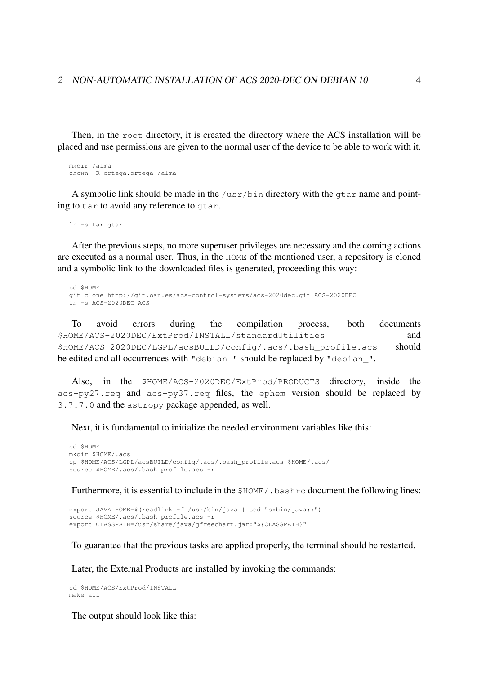Then, in the root directory, it is created the directory where the ACS installation will be placed and use permissions are given to the normal user of the device to be able to work with it.

```
mkdir /alma
chown -R ortega.ortega /alma
```
A symbolic link should be made in the  $/\text{usr/bin}$  directory with the  $qtar$  name and pointing to tar to avoid any reference to gtar.

ln -s tar gtar

After the previous steps, no more superuser privileges are necessary and the coming actions are executed as a normal user. Thus, in the HOME of the mentioned user, a repository is cloned and a symbolic link to the downloaded files is generated, proceeding this way:

```
cd $HOME
git clone http://git.oan.es/acs-control-systems/acs-2020dec.git ACS-2020DEC
ln -s ACS-2020DEC ACS
```
To avoid errors during the compilation process, both documents \$HOME/ACS-2020DEC/ExtProd/INSTALL/standardUtilities and \$HOME/ACS-2020DEC/LGPL/acsBUILD/config/.acs/.bash\_profile.acs should be edited and all occurrences with "debian-" should be replaced by "debian\_".

Also, in the \$HOME/ACS-2020DEC/ExtProd/PRODUCTS directory, inside the acs-py27.req and acs-py37.req files, the ephem version should be replaced by 3.7.7.0 and the astropy package appended, as well.

Next, it is fundamental to initialize the needed environment variables like this:

```
cd $HOME
mkdir $HOME/.acs
cp $HOME/ACS/LGPL/acsBUILD/config/.acs/.bash_profile.acs $HOME/.acs/
source $HOME/.acs/.bash_profile.acs -r
```
Furthermore, it is essential to include in the \$HOME/. bashrc document the following lines:

```
export JAVA_HOME=$(readlink -f /usr/bin/java | sed "s:bin/java::")
source $HOME/.acs/.bash_profile.acs -r
export CLASSPATH=/usr/share/java/jfreechart.jar:"${CLASSPATH}"
```
To guarantee that the previous tasks are applied properly, the terminal should be restarted.

Later, the External Products are installed by invoking the commands:

cd \$HOME/ACS/ExtProd/INSTALL make all

The output should look like this: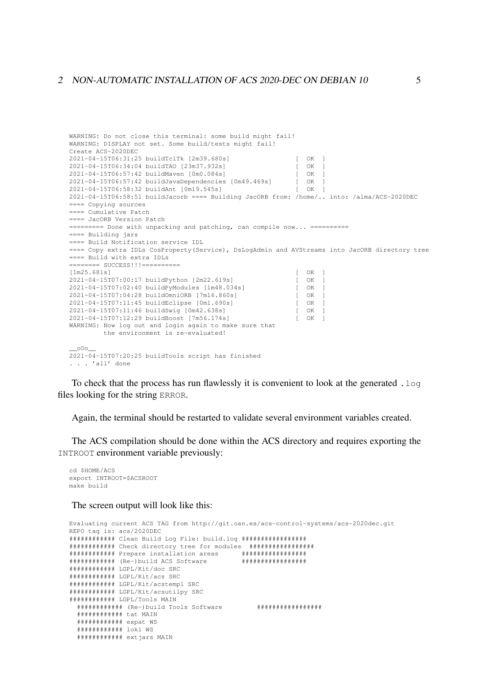```
WARNING: Do not close this terminal: some build might fail!
WARNING: DISPLAY not set. Some build/tests might fail!
Create ACS-2020DEC
2021-04-15T06:31:25 buildTclTk [2m39.680s] [ OK ]<br>2021-04-15T06:34:04 buildTAO [23m37.932s] [ OK ]<br>2021-04-15T06:57:42 buildMaven [0m0.084s] [ OK ]
2021-04-15T06:34:04 buildTAO [23m37.932s] [ OK ]
2021-04-15T06:57:42 buildMaven [0m0.084s] [ OK ]
2021-04-15T06:57:42 buildJavaDependencies [0m49.469s] [ OK ]
2021-04-15T06:58:32 buildAnt [0m19.545s]2021-04-15T06:58:51 buildJacorb ==== Building JacORB from: /home/.. into: /alma/ACS-2020DEC
==== Copying sources
==== Cumulative Patch
==== JacORB Version Patch
========= Done with unpacking and patching, can compile now... ==========
==== Building jars
==== Build Notification service IDL
==== Copy extra IDLs CosProperty(Service), DsLogAdmin and AVStreams into JacORB directory tree
==== Build with extra IDLs
======== SUCCESS!!!==========
[1 \text{m25.681s}] [ OK ]2021-04-15T07:00:17 buildPython [2m22.619s] [ OK ]<br>2021-04-15T07:02:40 buildPyModules [1m48.034s] [ OK ]<br>2021-04-15T07:04:28 buildOmniORB [7m16.860s] [ OK ]
2021-04-15T07:02:40 buildPyModules [1m48.034s]<br>2021-04-15T07:02:40 buildPyModules [1m48.034s]
2021-04-15T07:04:28 buildOmniORB [7m16.860s] [ OK ]
2021-04-15T07:11:45 buildEclipse [0m1.690s] [ OK ]<br>2021-04-15T07:11:46 buildSwig [0m42.638s] [ OK ]<br>2021-04-15T07:12:29 buildBoost [7m56.174s] [ OK ]
2021-04-15T07:11:46 buildSwig [0m42.638s] [ OK ]
2021-04-15T07:12:29 buildBoost [7m56.174s] [ OK ]
WARNING: Now log out and login again to make sure that
         the environment is re-evaluated!
  0002021-04-15T07:20:25 buildTools script has finished
. . . 'all' done
```
To check that the process has run flawlessly it is convenient to look at the generated .log files looking for the string ERROR.

Again, the terminal should be restarted to validate several environment variables created.

The ACS compilation should be done within the ACS directory and requires exporting the INTROOT environment variable previously:

```
cd $HOME/ACS
export INTROOT=$ACSROOT
make build
```
The screen output will look like this:

```
Evaluating current ACS TAG from http://git.oan.es/acs-control-systems/acs-2020dec.git
REPO tag is: acs/2020DEC
############ Clean Build Log File: build.log #################
############ Check directory tree for modules #################
############ Prepare installation areas #################
############ (Re-)build ACS Software #################
############ LGPL/Kit/doc SRC
############ LGPL/Kit/acs SRC
############ LGPL/Kit/acstempl SRC
############ LGPL/Kit/acsutilpy SRC
############ LGPL/Tools MAIN
  ############ (Re-)build Tools Software #################
  ############ tat MAIN
  ############ expat WS
  ############ loki WS
  ############ extjars MAIN
```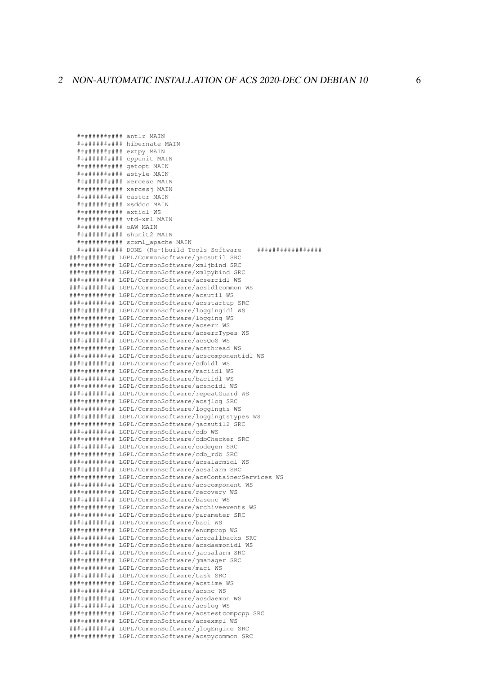############ antlr MAIN ############ hibernate MAIN ############ extpv MAIN ############ cppunit MAIN ############ getopt MAIN ############ actvlo MATN ############ xercesc MAIN ############ xercesj MAIN ############ castor MAIN ############ xsddoc MAIN ############ extidl WS ############ vtd-xml MAIN ########### OAW MAIN ############ chunit2 MATN ############ scxml apache MAIN ############ DONE (Re-)build Tools Software \*\*\*\*\*\*\*\*\*\*\*\*\*\*\*\*\*\* ############ LGPL/CommonSoftware/jacsutil SRC ############ LGPL/CommonSoftware/xmljbind SRC ############ LGPL/CommonSoftware/xmlpvbind SRC ############ LGPL/CommonSoftware/acserridl WS ############ LGPL/CommonSoftware/acsidlcommon WS ############# LGPL/CommonSoftware/acsutil WS ############ LGPL/CommonSoftware/acsstartup SRC ############ LGPL/CommonSoftware/loggingidl WS ############ LGPL/CommonSoftware/logging WS ############ LGPL/CommonSoftware/acserr WS ############ LGPL/CommonSoftware/acserrTypes WS ############ LGPL/CommonSoftware/acsOoS WS ############ LGPL/CommonSoftware/acsthread WS ############# LGPL/CommonSoftware/acscomponentidl WS ############ LGPL/CommonSoftware/cdbidl WS ############ LGPL/CommonSoftware/maciidl WS ############ LGPL/CommonSoftware/baciidl WS ############ LGPL/CommonSoftware/acsncidl WS ############ LGPL/CommonSoftware/repeatGuard WS ############ LGPL/CommonSoftware/acsilog SRC ############ LGPL/CommonSoftware/loggingts WS ############# LGPL/CommonSoftware/loggingtsTypes WS ############ LGPL/CommonSoftware/jacsutil2 SRC ############ LGPL/CommonSoftware/cdb WS ############ LGPL/CommonSoftware/cdbChecker SRC ############ LGPL/CommonSoftware/codegen SRC ############ LGPL/CommonSoftware/cdb rdb SRC ############# LGPL/CommonSoftware/acsalarmidl WS ############ LGPL/CommonSoftware/acsalarm SRC ############# LGPL/CommonSoftware/acsContainerServices MS ############ LGPL/CommonSoftware/acscomponent WS ############ LGPL/CommonSoftware/recovery WS ############ LGPL/CommonSoftware/basenc MS ############ LGPL/CommonSoftware/archiveevents WS ############ LGPL/CommonSoftware/parameter SRC ############ LGPL/CommonSoftware/baci WS ############ LGPL/CommonSoftware/enumprop WS ############ LGPL/CommonSoftware/acscallbacks SRC ############ LGPL/CommonSoftware/acsdaemonidl WS ############ LGPL/CommonSoftware/jacsalarm SRC ############# LGPL/CommonSoftware/imanager\_SRC ############ LGPL/CommonSoftware/maci WS ############ LGPL/CommonSoftware/task SRC ############ LGPL/CommonSoftware/acstime WS ############ LGPL/CommonSoftware/acsnc WS ############ LGPL/CommonSoftware/acsdaemon WS ############ LGPL/CommonSoftware/acslog WS ############ JGPL/CommonSoftware/acstestcompcpp SRC ############# LGPL/CommonSoftware/acsexmpl MS ############ LGPL/CommonSoftware/jlogEngine SRC ############ LGPL/CommonSoftware/acspycommon SRC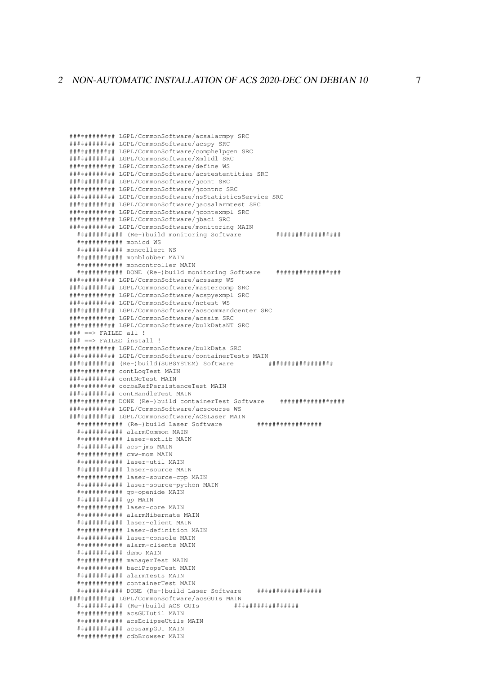```
############ LGPL/CommonSoftware/acsalarmpy SRC
############ LGPL/CommonSoftware/acspy SRC
############ LGPL/CommonSoftware/comphelpgen SRC
############ LGPL/CommonSoftware/XmlIdl SRC
############ LGPL/CommonSoftware/define WS
############ LCPL/CommonSoftware/acstestentities SRC
############ LGPL/CommonSoftware/jcont SRC
############ LGPL/CommonSoftware/jcontnc SRC
############# LGPL/CommonSoftware/nsStatisticsService SRC
############ LGPL/CommonSoftware/jacsalarmtest SRC
############ LGPL/CommonSoftware/icontexmpl SRC
############ LGPL/CommonSoftware/jbaci SRC
############ LGPL/CommonSoftware/monitoring MAIN
 ############ (Re-)build monitoring Software
                                                     *****************
  ############ monicd WS
  ############ moncollect WS
  ############ monblobber MAIN
  ############ moncontroller MAIN
  ############# DONE (Re-)build monitoring Software
                                                   ############ LGPL/CommonSoftware/acssamp WS
############ LGPL/CommonSoftware/mastercomp SRC
############ LGPL/CommonSoftware/acspyexmpl SRC
############ LGPL/CommonSoftware/nctest WS
############ LGPL/CommonSoftware/acscommandcenter SRC
############ LGPL/CommonSoftware/acssim SRC
############ LGPL/CommonSoftware/bulkDataNT SRC
\## = = > FAILED all !
### ==> FAILED install !
############ LGPL/CommonSoftware/bulkData SRC
############# LGPL/CommonSoftware/containerTests MAIN
############ (Re-)build(SUBSYSTEM) Software
                                                  + + + + + + + + + + + + + + + + + +
############ contLogTest MAIN
############ contNcTest MAIN
############ corbaRefPersistenceTest MAIN
############ contHandleTest MAIN
                                                      . . . . . . . . . . . . . . . . . .
############ DONE (Re-)build containerTest Software
############ LGPL/CommonSoftware/acscourse WS
############# LGPL/CommonSoftware/ACSLaser MAIN
                                               ******************
  ############ (Re-)build Laser Software
  ############ alarmCommon MAIN
  ############ laser-util MAIN
  ############ laser-source MAIN
  ############# laser-source-cpp MAIN
  ############ laser-source-python MAIN
  ############ gp-openide MAIN
  \# # # # # # # # # # # # gp MAIN
  ############ laser-core MAIN
  ############ alarmHibernate MAIN
  ############ laser-client MAIN
  ############ laser-definition MAIN
  ############ laser-console MAIN
  ############ alarm-clients MAIN
  ############ demo MAIN
  ############ managerTest MAIN
  ############ baciPropsTest MAIN
  ############ alarmTests MAIN
  ############ containerTest MAIN
  ############ DONE (Re-)build Laser Software
                                                ******************
############ LGPL/CommonSoftware/acsGUIs MAIN
  ############ (Re-)build ACS GUIs
                                          + + + + + + + + + + + + + + + + + +
  ############# acsGUIutil MAIN
  ############# acsEclipseIItils MAIN
  ############ acssampGUI MAIN
  ############ cdbBrowser MAIN
```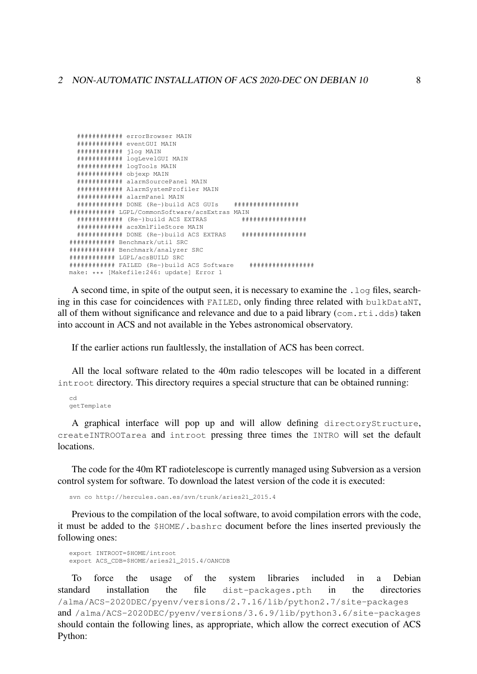|                          | ############ errorBrowser MAIN                                  |                   |
|--------------------------|-----------------------------------------------------------------|-------------------|
|                          | ############ eventGUI MAIN                                      |                   |
|                          |                                                                 |                   |
|                          | ############ logLevelGUI MAIN                                   |                   |
|                          | ############ logTools MAIN                                      |                   |
| ############ objexp MAIN |                                                                 |                   |
|                          | ############# alarmSourcePanel MAIN                             |                   |
|                          | ############ AlarmSystemProfiler MAIN                           |                   |
|                          | ############ alarmPanel MAIN                                    |                   |
|                          | ############ DONE (Re-)build ACS GUIs                           | ***************** |
|                          | ############ LGPL/CommonSoftware/acsExtras MAIN                 |                   |
|                          | $\#$ ########### (Re-)build ACS EXTRAS                          | ***************** |
|                          | ############ acsXmlFileStore MAIN                               |                   |
|                          | ############# DONE (Re-)build ACS EXTRAS ##################     |                   |
|                          | ############ Benchmark/util SRC                                 |                   |
|                          | ############ Benchmark/analyzer SRC                             |                   |
|                          | ############ LGPL/acsBUILD SRC                                  |                   |
|                          | ############# FAILED (Re-)build ACS Software ################## |                   |
|                          | make: *** [Makefile:246: update] Error 1                        |                   |

A second time, in spite of the output seen, it is necessary to examine the .  $log$  files, searching in this case for coincidences with FAILED, only finding three related with bulkDataNT, all of them without significance and relevance and due to a paid library (com.rti.dds) taken into account in ACS and not available in the Yebes astronomical observatory.

If the earlier actions run faultlessly, the installation of ACS has been correct.

All the local software related to the 40m radio telescopes will be located in a different introot directory. This directory requires a special structure that can be obtained running:

 $\sim$ qetTemplate

A graphical interface will pop up and will allow defining directoryStructure, createINTROOTarea and introot pressing three times the INTRO will set the default locations.

The code for the 40m RT radiotelescope is currently managed using Subversion as a version control system for software. To download the latest version of the code it is executed:

svn co http://hercules.oan.es/svn/trunk/aries21\_2015.4

Previous to the compilation of the local software, to avoid compilation errors with the code, it must be added to the \$HOME/. bashrc document before the lines inserted previously the following ones:

export INTROOT=\$HOME/introot export ACS\_CDB=\$HOME/aries21\_2015.4/OANCDB

included  $in$ Debian To force the usage of the system libraries  $a$ standard installation the file dist-packages.pth in the directories /alma/ACS-2020DEC/pyenv/versions/2.7.16/lib/python2.7/site-packages and /alma/ACS-2020DEC/pyenv/versions/3.6.9/lib/python3.6/site-packages should contain the following lines, as appropriate, which allow the correct execution of ACS Python: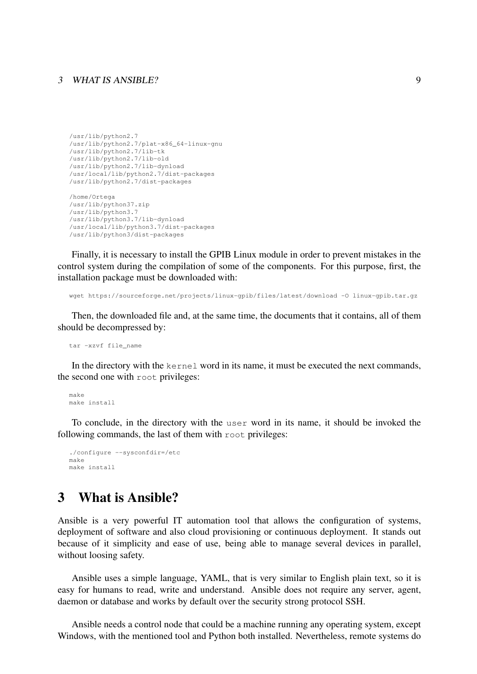#### 3 WHAT IS ANSIBLE? 9

```
/usr/lib/python2.7
/usr/lib/python2.7/plat-x86_64-linux-gnu
/usr/lib/python2.7/lib-tk
/usr/lib/python2.7/lib-old
/usr/lib/python2.7/lib-dynload
/usr/local/lib/python2.7/dist-packages
/usr/lib/python2.7/dist-packages
/home/Ortega
/usr/lib/python37.zip
/usr/lib/python3.7
/usr/lib/python3.7/lib-dynload
/usr/local/lib/python3.7/dist-packages
```
/usr/lib/python3/dist-packages

Finally, it is necessary to install the GPIB Linux module in order to prevent mistakes in the control system during the compilation of some of the components. For this purpose, first, the installation package must be downloaded with:

wget https://sourceforge.net/projects/linux-gpib/files/latest/download -O linux-gpib.tar.gz

Then, the downloaded file and, at the same time, the documents that it contains, all of them should be decompressed by:

tar -xzvf file\_name

In the directory with the kernel word in its name, it must be executed the next commands, the second one with root privileges:

make make install

To conclude, in the directory with the user word in its name, it should be invoked the following commands, the last of them with root privileges:

```
./configure --sysconfdir=/etc
make
make install
```
## 3 What is Ansible?

Ansible is a very powerful IT automation tool that allows the configuration of systems, deployment of software and also cloud provisioning or continuous deployment. It stands out because of it simplicity and ease of use, being able to manage several devices in parallel, without loosing safety.

Ansible uses a simple language, YAML, that is very similar to English plain text, so it is easy for humans to read, write and understand. Ansible does not require any server, agent, daemon or database and works by default over the security strong protocol SSH.

Ansible needs a control node that could be a machine running any operating system, except Windows, with the mentioned tool and Python both installed. Nevertheless, remote systems do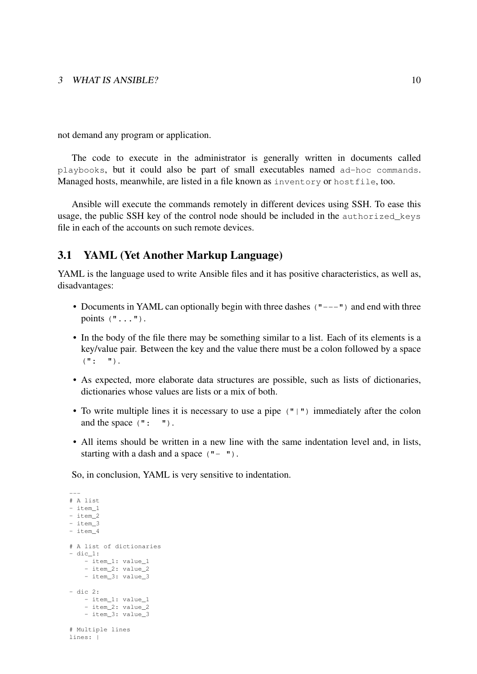not demand any program or application.

The code to execute in the administrator is generally written in documents called playbooks, but it could also be part of small executables named ad-hoc commands. Managed hosts, meanwhile, are listed in a file known as inventory or hostfile, too.

Ansible will execute the commands remotely in different devices using SSH. To ease this usage, the public SSH key of the control node should be included in the authorized\_keys file in each of the accounts on such remote devices.

### 3.1 YAML (Yet Another Markup Language)

YAML is the language used to write Ansible files and it has positive characteristics, as well as, disadvantages:

- Documents in YAML can optionally begin with three dashes ("---") and end with three points  $(\mathbf{u} \dots \mathbf{u})$ .
- In the body of the file there may be something similar to a list. Each of its elements is a key/value pair. Between the key and the value there must be a colon followed by a space  $(\mathbb{T}: \mathbb{T})$ .
- As expected, more elaborate data structures are possible, such as lists of dictionaries, dictionaries whose values are lists or a mix of both.
- To write multiple lines it is necessary to use a pipe ("|") immediately after the colon and the space (": ").
- All items should be written in a new line with the same indentation level and, in lists, starting with a dash and a space  $($  " $-$  " $)$ .

So, in conclusion, YAML is very sensitive to indentation.

```
---
# A list
- item_1
- item_2
- item_3
- item_4
# A list of dictionaries
- dic_1:
   - item_1: value_1
    - item_2: value_2
    - item_3: value_3
- dic 2:
    - item_1: value_1
    - item_2: value_2
    - item_3: value_3
# Multiple lines
lines: |
```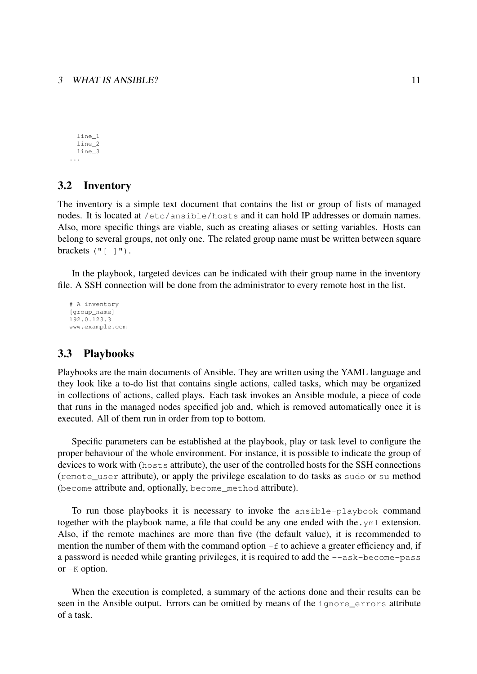line\_1 line\_2 line\_3 ...

### 3.2 Inventory

The inventory is a simple text document that contains the list or group of lists of managed nodes. It is located at /etc/ansible/hosts and it can hold IP addresses or domain names. Also, more specific things are viable, such as creating aliases or setting variables. Hosts can belong to several groups, not only one. The related group name must be written between square brackets  $(\cdot, \cdot)$   $\cdot$ 

In the playbook, targeted devices can be indicated with their group name in the inventory file. A SSH connection will be done from the administrator to every remote host in the list.

# A inventory [group\_name] 192.0.123.3 www.example.com

### 3.3 Playbooks

Playbooks are the main documents of Ansible. They are written using the YAML language and they look like a to-do list that contains single actions, called tasks, which may be organized in collections of actions, called plays. Each task invokes an Ansible module, a piece of code that runs in the managed nodes specified job and, which is removed automatically once it is executed. All of them run in order from top to bottom.

Specific parameters can be established at the playbook, play or task level to configure the proper behaviour of the whole environment. For instance, it is possible to indicate the group of devices to work with (hosts attribute), the user of the controlled hosts for the SSH connections (remote\_user attribute), or apply the privilege escalation to do tasks as sudo or su method (become attribute and, optionally, become\_method attribute).

To run those playbooks it is necessary to invoke the ansible-playbook command together with the playbook name, a file that could be any one ended with the.yml extension. Also, if the remote machines are more than five (the default value), it is recommended to mention the number of them with the command option  $-f$  to achieve a greater efficiency and, if a password is needed while granting privileges, it is required to add the --ask-become-pass or -K option.

When the execution is completed, a summary of the actions done and their results can be seen in the Ansible output. Errors can be omitted by means of the ignore\_errors attribute of a task.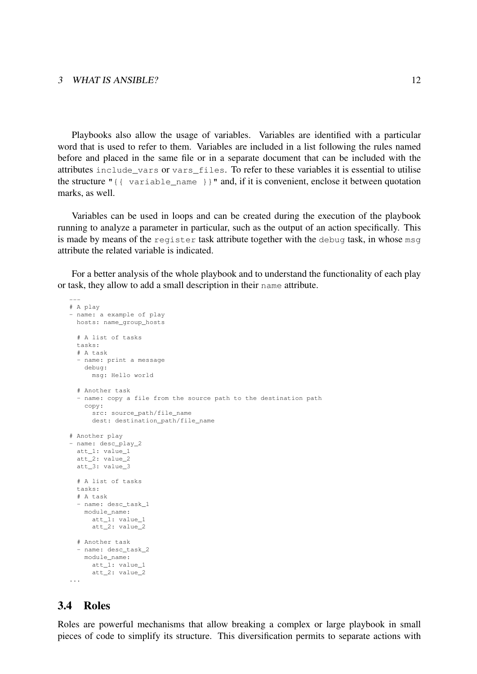#### 3 WHAT IS ANSIBLE? 12

Playbooks also allow the usage of variables. Variables are identified with a particular word that is used to refer to them. Variables are included in a list following the rules named before and placed in the same file or in a separate document that can be included with the attributes include\_vars or vars\_files. To refer to these variables it is essential to utilise the structure "{{ variable\_name }}" and, if it is convenient, enclose it between quotation marks, as well.

Variables can be used in loops and can be created during the execution of the playbook running to analyze a parameter in particular, such as the output of an action specifically. This is made by means of the register task attribute together with the debug task, in whose msg attribute the related variable is indicated.

For a better analysis of the whole playbook and to understand the functionality of each play or task, they allow to add a small description in their name attribute.

```
---
# A play
- name: a example of play
 hosts: name_group_hosts
 # A list of tasks
 tasks:
  # A task
  - name: print a message
   debug:
     msg: Hello world
 # Another task
 - name: copy a file from the source path to the destination path
   copy:
     src: source_path/file_name
     dest: destination_path/file_name
# Another play
- name: desc_play_2
 att_1: value_1
 att_2: value_2
 att_3: value_3
 # A list of tasks
 tasks:
  # A task
 - name: desc_task_1
   module_name:
     att_1: value_1
     att_2: value_2
  # Another task
 - name: desc_task_2
   module_name:
     att 1: value 1
     att_2: value_2
...
```
### 3.4 Roles

Roles are powerful mechanisms that allow breaking a complex or large playbook in small pieces of code to simplify its structure. This diversification permits to separate actions with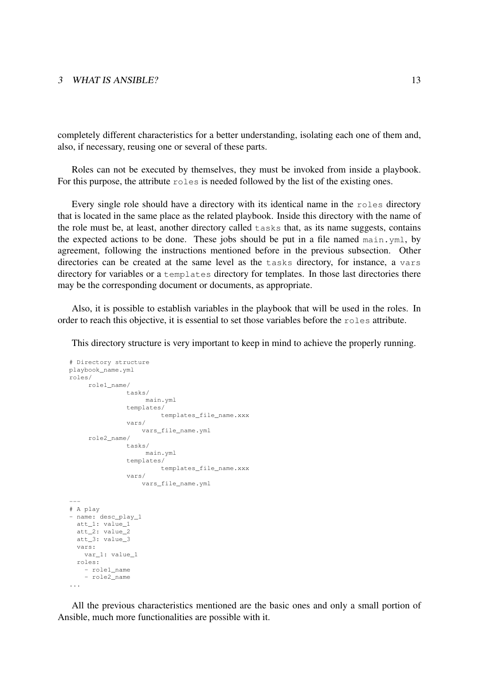#### 3 WHAT IS ANSIBLE? 13

completely different characteristics for a better understanding, isolating each one of them and, also, if necessary, reusing one or several of these parts.

Roles can not be executed by themselves, they must be invoked from inside a playbook. For this purpose, the attribute roles is needed followed by the list of the existing ones.

Every single role should have a directory with its identical name in the roles directory that is located in the same place as the related playbook. Inside this directory with the name of the role must be, at least, another directory called tasks that, as its name suggests, contains the expected actions to be done. These jobs should be put in a file named main.yml, by agreement, following the instructions mentioned before in the previous subsection. Other directories can be created at the same level as the tasks directory, for instance, a vars directory for variables or a templates directory for templates. In those last directories there may be the corresponding document or documents, as appropriate.

Also, it is possible to establish variables in the playbook that will be used in the roles. In order to reach this objective, it is essential to set those variables before the roles attribute.

This directory structure is very important to keep in mind to achieve the properly running.

```
# Directory structure
playbook_name.yml
roles/
    role1_name/
              tasks/
                  main.yml
              templates/
                      templates_file_name.xxx
              vars/
                  vars_file_name.yml
     role2_name/
              tasks/
                   main.yml
              templates/
                      templates_file_name.xxx
              vars/
                 vars_file_name.yml
---
# A play
- name: desc_play_1
 att_1: value_1
 att_2: value_2
 att_3: value_3
 vars:
   var_1: value_1
 roles:
   - role1_name
    - role2_name
...
```
All the previous characteristics mentioned are the basic ones and only a small portion of Ansible, much more functionalities are possible with it.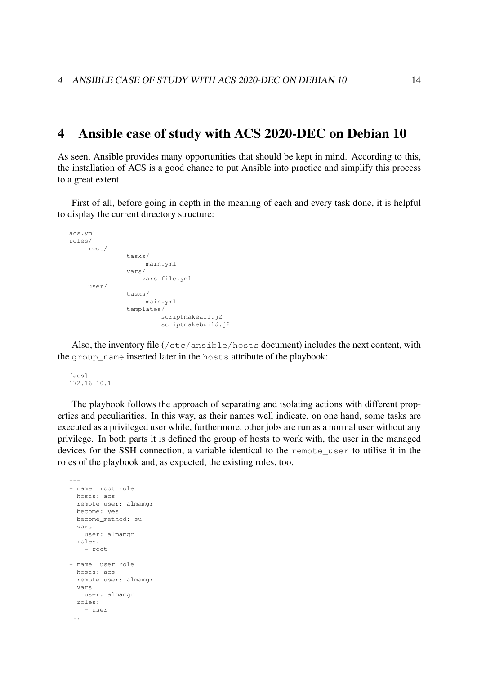### 4 Ansible case of study with ACS 2020-DEC on Debian 10

As seen, Ansible provides many opportunities that should be kept in mind. According to this, the installation of ACS is a good chance to put Ansible into practice and simplify this process to a great extent.

First of all, before going in depth in the meaning of each and every task done, it is helpful to display the current directory structure:

```
acs.yml
roles/
    root/
              tasks/
                  main.yml
              vars/
                  vars_file.yml
    user/
             tasks/
                  main.yml
              templates/
                      scriptmakeall.j2
                       scriptmakebuild.j2
```
Also, the inventory file (/etc/ansible/hosts document) includes the next content, with the group name inserted later in the hosts attribute of the playbook:

```
[acs]
172.16.10.1
```
The playbook follows the approach of separating and isolating actions with different properties and peculiarities. In this way, as their names well indicate, on one hand, some tasks are executed as a privileged user while, furthermore, other jobs are run as a normal user without any privilege. In both parts it is defined the group of hosts to work with, the user in the managed devices for the SSH connection, a variable identical to the remote\_user to utilise it in the roles of the playbook and, as expected, the existing roles, too.

```
---
- name: root role
 hosts: acs
 remote_user: almamgr
 become: yes
 become_method: su
 vars:
   user: almamgr
 roles:
    - root
- name: user role
 hosts: acs
  remote_user: almamgr
 vars:
   user: almamgr
 roles:
   - user
...
```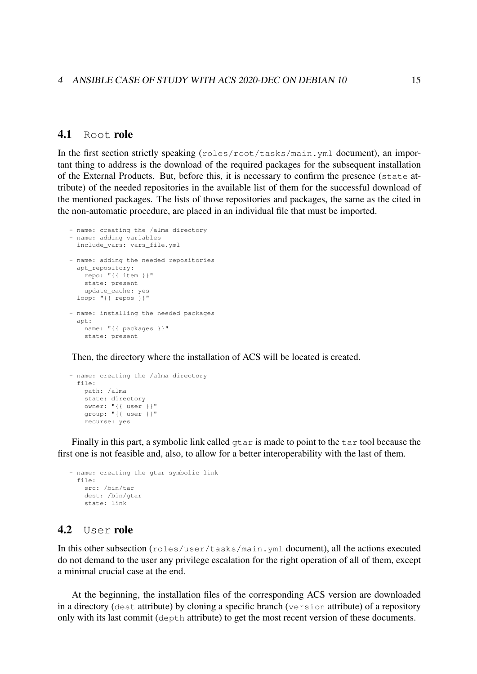### 4.1 Root role

In the first section strictly speaking (roles/root/tasks/main.yml document), an important thing to address is the download of the required packages for the subsequent installation of the External Products. But, before this, it is necessary to confirm the presence (state attribute) of the needed repositories in the available list of them for the successful download of the mentioned packages. The lists of those repositories and packages, the same as the cited in the non-automatic procedure, are placed in an individual file that must be imported.

```
- name: creating the /alma directory
- name: adding variables
 include_vars: vars_file.yml
- name: adding the needed repositories
 apt_repository:
   repo: "{{ item }}"
   state: present
   update_cache: yes
 loop: "{{ repos }}"
- name: installing the needed packages
 apt:
   name: "{{ packages }}"
   state: present
```
Then, the directory where the installation of ACS will be located is created.

```
- name: creating the /alma directory
 file:
   path: /alma
   state: directory
   owner: "{{ user }}"
   group: "{{ user }}"
   recurse: yes
```
Finally in this part, a symbolic link called  $\sigma$ tar is made to point to the tar tool because the first one is not feasible and, also, to allow for a better interoperability with the last of them.

```
- name: creating the gtar symbolic link
  file:
   src: /bin/tar
   dest: /bin/gtar
   state: link
```
### 4.2 User role

In this other subsection (roles/user/tasks/main.yml document), all the actions executed do not demand to the user any privilege escalation for the right operation of all of them, except a minimal crucial case at the end.

At the beginning, the installation files of the corresponding ACS version are downloaded in a directory (dest attribute) by cloning a specific branch (version attribute) of a repository only with its last commit (depth attribute) to get the most recent version of these documents.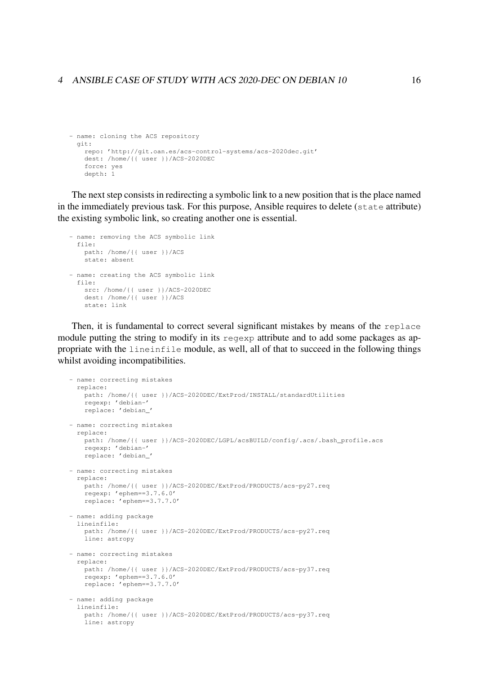#### 4 ANSIBLE CASE OF STUDY WITH ACS 2020-DEC ON DEBIAN 10 16

```
- name: cloning the ACS repository
 git:
   repo: 'http://git.oan.es/acs-control-systems/acs-2020dec.git'
   dest: /home/{{ user }}/ACS-2020DEC
    force: yes
    depth: 1
```
The next step consists in redirecting a symbolic link to a new position that is the place named in the immediately previous task. For this purpose, Ansible requires to delete (state attribute) the existing symbolic link, so creating another one is essential.

```
- name: removing the ACS symbolic link
 file:
   path: /home/{{ user }}/ACS
   state: absent
- name: creating the ACS symbolic link
  file:
   src: /home/{{ user }}/ACS-2020DEC
   dest: /home/{{ user }}/ACS
   state: link
```
Then, it is fundamental to correct several significant mistakes by means of the replace module putting the string to modify in its regexp attribute and to add some packages as appropriate with the lineinfile module, as well, all of that to succeed in the following things whilst avoiding incompatibilities.

```
- name: correcting mistakes
 replace:
   path: /home/{{ user }}/ACS-2020DEC/ExtProd/INSTALL/standardUtilities
   regexp: 'debian-'
   replace: 'debian_'
- name: correcting mistakes
 replace:
   path: /home/{{ user }}/ACS-2020DEC/LGPL/acsBUILD/config/.acs/.bash_profile.acs
   regexp: 'debian-'
   replace: 'debian_'
- name: correcting mistakes
 replace:
   path: /home/{{ user }}/ACS-2020DEC/ExtProd/PRODUCTS/acs-py27.req
   regexp: 'ephem==3.7.6.0'
   replace: 'ephem==3.7.7.0'
- name: adding package
 lineinfile:
   path: /home/{{ user }}/ACS-2020DEC/ExtProd/PRODUCTS/acs-py27.req
    line: astropy
- name: correcting mistakes
  replace:
   path: /home/{{ user }}/ACS-2020DEC/ExtProd/PRODUCTS/acs-py37.req
    regexp: 'ephem==3.7.6.0'
   replace: 'ephem==3.7.7.0'
- name: adding package
  lineinfile:
   path: /home/{{ user }}/ACS-2020DEC/ExtProd/PRODUCTS/acs-py37.req
   line: astropy
```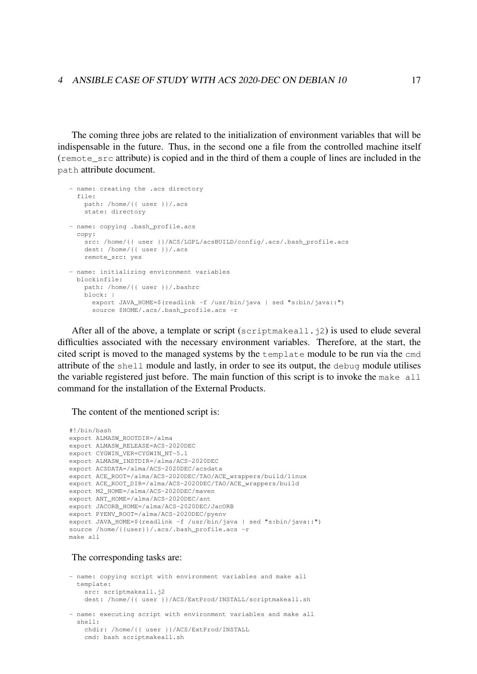The coming three jobs are related to the initialization of environment variables that will be indispensable in the future. Thus, in the second one a file from the controlled machine itself (remote\_src attribute) is copied and in the third of them a couple of lines are included in the path attribute document.

```
- name: creating the .acs directory
 file:
  path: /home/{{ user }}/.acs
   state: directory
- name: copying .bash profile.acs
 copy:
   src: /home/{{ user }}/ACS/LGPL/acsBUILD/config/.acs/.bash_profile.acs
   dest: /home/{{ user }}/.acs
   remote_src: yes
- name: initializing environment variables
 blockinfile:
   path: /home/{{ user }}/.bashrc
   block: |
     export JAVA_HOME=$(readlink -f /usr/bin/java | sed "s:bin/java::")
     source $HOME/.acs/.bash_profile.acs -r
```
After all of the above, a template or script (scriptmakeall.  $\overline{12}$ ) is used to elude several difficulties associated with the necessary environment variables. Therefore, at the start, the cited script is moved to the managed systems by the template module to be run via the cmd attribute of the shell module and lastly, in order to see its output, the debug module utilises the variable registered just before. The main function of this script is to invoke the make all command for the installation of the External Products.

The content of the mentioned script is:

```
#!/bin/bash
export ALMASW_ROOTDIR=/alma
export ALMASW_RELEASE=ACS-2020DEC
export CYGWIN VER=CYGWIN NT-5.1
export ALMASW_INSTDIR=/alma/ACS-2020DEC
export ACSDATA=/alma/ACS-2020DEC/acsdata
export ACE_ROOT=/alma/ACS-2020DEC/TAO/ACE_wrappers/build/linux
export ACE_ROOT_DIR=/alma/ACS-2020DEC/TAO/ACE_wrappers/build
export M2_HOME=/alma/ACS-2020DEC/maven
export ANT_HOME=/alma/ACS-2020DEC/ant
export JACORB_HOME=/alma/ACS-2020DEC/JacORB
export PYENV_ROOT=/alma/ACS-2020DEC/pyenv
export JAVA_HOME=$(readlink -f /usr/bin/java | sed "s:bin/java::")
source /home/{{user}}/.acs/.bash_profile.acs -r
make all
```
#### The corresponding tasks are:

```
- name: copying script with environment variables and make all
 template:
   src: scriptmakeall.j2
   dest: /home/{{ user }}/ACS/ExtProd/INSTALL/scriptmakeall.sh
- name: executing script with environment variables and make all
 shell:
   chdir: /home/{{ user }}/ACS/ExtProd/INSTALL
   cmd: bash scriptmakeall.sh
```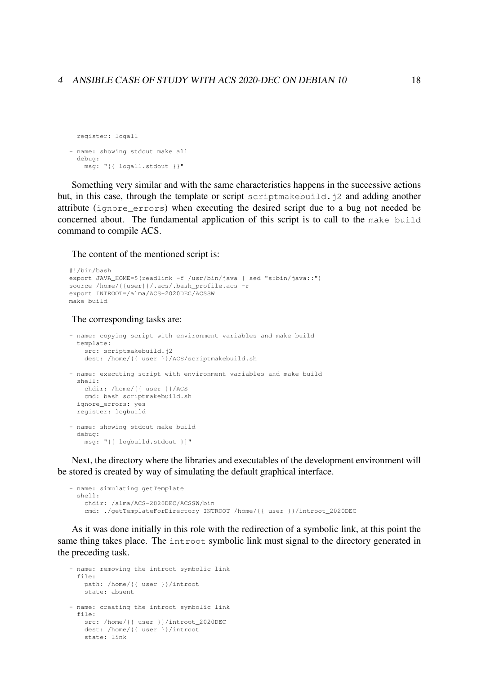#### 4 ANSIBLE CASE OF STUDY WITH ACS 2020-DEC ON DEBIAN 10 18

```
register: logall
- name: showing stdout make all
 debug:
   msg: "{{ logall.stdout }}"
```
Something very similar and with the same characteristics happens in the successive actions but, in this case, through the template or script scriptmakebuild.j2 and adding another attribute (ignore\_errors) when executing the desired script due to a bug not needed be concerned about. The fundamental application of this script is to call to the make build command to compile ACS.

The content of the mentioned script is:

```
#!/bin/bash
export JAVA HOME=$(readlink -f /usr/bin/java | sed "s:bin/java::")
source /home/{{user}}/.acs/.bash_profile.acs -r
export INTROOT=/alma/ACS-2020DEC/ACSSW
make build
```
The corresponding tasks are:

```
- name: copying script with environment variables and make build
 template:
   src: scriptmakebuild.j2
   dest: /home/{{ user }}/ACS/scriptmakebuild.sh
- name: executing script with environment variables and make build
 shell:
   chdir: /home/{{ user }}/ACS
   cmd: bash scriptmakebuild.sh
 ignore_errors: yes
 register: logbuild
- name: showing stdout make build
 debug:
   msg: "{{ logbuild.stdout }}"
```
Next, the directory where the libraries and executables of the development environment will be stored is created by way of simulating the default graphical interface.

```
- name: simulating getTemplate
 shell:
   chdir: /alma/ACS-2020DEC/ACSSW/bin
    cmd: ./getTemplateForDirectory INTROOT /home/{{ user }}/introot_2020DEC
```
As it was done initially in this role with the redirection of a symbolic link, at this point the same thing takes place. The introot symbolic link must signal to the directory generated in the preceding task.

```
- name: removing the introot symbolic link
 f: 1 \cappath: /home/{{ user }}/introot
   state: absent
- name: creating the introot symbolic link
 file:
   src: /home/{{ user }}/introot_2020DEC
   dest: /home/{{ user }}/introot
   state: link
```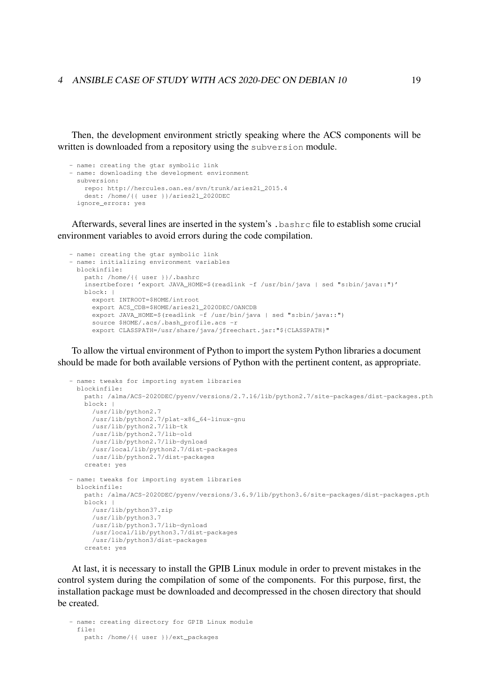Then, the development environment strictly speaking where the ACS components will be written is downloaded from a repository using the subversion module.

```
- name: creating the gtar symbolic link
- name: downloading the development environment
 subversion:
   repo: http://hercules.oan.es/svn/trunk/aries21_2015.4
   dest: /home/{{ user }}/aries21_2020DEC
 ignore_errors: yes
```
Afterwards, several lines are inserted in the system's .bashrc file to establish some crucial environment variables to avoid errors during the code compilation.

```
- name: creating the gtar symbolic link
- name: initializing environment variables
 blockinfile:
   path: /home/{{ user }}/.bashrc
   insertbefore: 'export JAVA_HOME=$(readlink -f /usr/bin/java | sed "s:bin/java::")'
   block: |
     export INTROOT=$HOME/introot
     export ACS_CDB=$HOME/aries21_2020DEC/OANCDB
     export JAVA HOME=$(readlink -f /usr/bin/java | sed "s:bin/java::")
      source $HOME/.acs/.bash_profile.acs -r
      export CLASSPATH=/usr/share/java/jfreechart.jar:"${CLASSPATH}"
```
To allow the virtual environment of Python to import the system Python libraries a document should be made for both available versions of Python with the pertinent content, as appropriate.

```
- name: tweaks for importing system libraries
 blockinfile:
   path: /alma/ACS-2020DEC/pyenv/versions/2.7.16/lib/python2.7/site-packages/dist-packages.pth
   block: |
     /usr/lib/python2.7
     /usr/lib/python2.7/plat-x86_64-linux-gnu
     /usr/lib/python2.7/lib-tk
     /usr/lib/python2.7/lib-old
     /usr/lib/python2.7/lib-dynload
     /usr/local/lib/python2.7/dist-packages
     /usr/lib/python2.7/dist-packages
   create: yes
- name: tweaks for importing system libraries
 blockinfile:
   path: /alma/ACS-2020DEC/pyenv/versions/3.6.9/lib/python3.6/site-packages/dist-packages.pth
   block: |
     /usr/lib/python37.zip
     /usr/lib/python3.7
     /usr/lib/python3.7/lib-dynload
     /usr/local/lib/python3.7/dist-packages
     /usr/lib/python3/dist-packages
    create: yes
```
At last, it is necessary to install the GPIB Linux module in order to prevent mistakes in the control system during the compilation of some of the components. For this purpose, first, the installation package must be downloaded and decompressed in the chosen directory that should be created.

```
- name: creating directory for GPIB Linux module
 f11a:
   path: /home/{{ user }}/ext_packages
```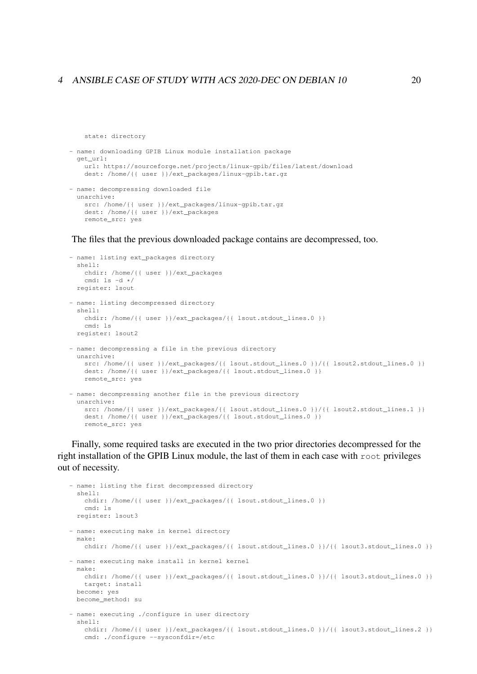#### 4 ANSIBLE CASE OF STUDY WITH ACS 2020-DEC ON DEBIAN 10 20

state: directory

```
- name: downloading GPIB Linux module installation package
  get_url:
   url: https://sourceforge.net/projects/linux-gpib/files/latest/download
   dest: /home/{{ user }}/ext_packages/linux-gpib.tar.gz
- name: decompressing downloaded file
 unarchive:
   src: /home/{{ user }}/ext_packages/linux-gpib.tar.gz
   dest: /home/{{ user }}/ext_packages
   remote_src: yes
```
The files that the previous downloaded package contains are decompressed, too.

```
- name: listing ext_packages directory
  shell:
   chdir: /home/{{ user }}/ext_packages
   cmd: ls -d */
 register: lsout
- name: listing decompressed directory
 shell:
   chdir: /home/{{ user }}/ext_packages/{{ lsout.stdout_lines.0 }}
   cmd: ls
 register: lsout2
- name: decompressing a file in the previous directory
 unarchive:
   src: /home/{{ user }}/ext_packages/{{ lsout.stdout_lines.0 }}/{{ lsout2.stdout_lines.0 }}
   dest: /home/{{ user }}/ext_packages/{{ lsout.stdout_lines.0 }}
   remote_src: yes
- name: decompressing another file in the previous directory
 unarchive:
   src: /home/{{ user }}/ext_packages/{{ lsout.stdout_lines.0 }}/{{ lsout2.stdout_lines.1 }}
   dest: /home/{{ user }}/ext_packages/{{ lsout.stdout_lines.0 }}
   remote_src: yes
```
Finally, some required tasks are executed in the two prior directories decompressed for the right installation of the GPIB Linux module, the last of them in each case with root privileges out of necessity.

```
- name: listing the first decompressed directory
 shell:
   chdir: /home/{{ user }}/ext_packages/{{ lsout.stdout_lines.0 }}
   cmd: ls
 register: lsout3
- name: executing make in kernel directory
 make:
   chdir: /home/{{ user }}/ext_packages/{{ lsout.stdout_lines.0 }}/{{ lsout3.stdout_lines.0 }}
- name: executing make install in kernel kernel
 make:
   chdir: /home/{{ user }}/ext_packages/{{ lsout.stdout_lines.0 }}/{{ lsout3.stdout_lines.0 }}
   target: install
 become: yes
 become_method: su
- name: executing ./configure in user directory
  shell:
   chdir: /home/{{ user }}/ext_packages/{{ lsout.stdout_lines.0 }}/{{ lsout3.stdout_lines.2 }}
   cmd: ./configure --sysconfdir=/etc
```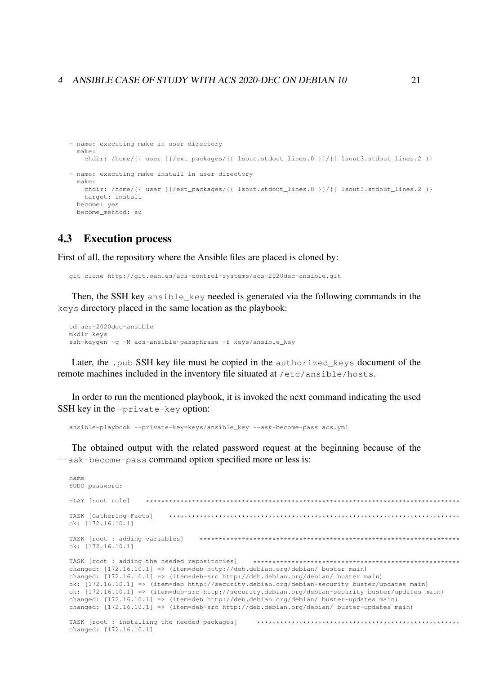#### 4 ANSIBLE CASE OF STUDY WITH ACS 2020-DEC ON DEBIAN 10

```
- name: executing make in user directory
 make:chdir: /home/{{ user }}/ext_packages/{{ lsout.stdout_lines.0 }}/{{ lsout3.stdout_lines.2 }}
- name: executing make install in user directory
 make:chdir: /home/{{ user }}/ext_packages/{{ lsout.stdout_lines.0 }}/{{ lsout3.stdout_lines.2 }}
   target: install
 become: yes
 become method: su
```
#### 4.3 **Execution process**

First of all, the repository where the Ansible files are placed is cloned by:

git clone http://git.oan.es/acs-control-systems/acs-2020dec-ansible.git

Then, the SSH key ansible\_key needed is generated via the following commands in the keys directory placed in the same location as the playbook:

```
cd acs-2020dec-ansible
mkdir keys
ssh-keygen -q -N acs-ansible-passphrase -f keys/ansible_key
```
Later, the .pub SSH key file must be copied in the authorized keys document of the remote machines included in the inventory file situated at /etc/ansible/hosts.

In order to run the mentioned playbook, it is invoked the next command indicating the used SSH key in the -private-key option:

ansible-playbook --private-key=keys/ansible key --ask-become-pass acs.yml

The obtained output with the related password request at the beginning because of the --ask-become-pass command option specified more or less is:

```
name
SUDO password:
PLAY [root role]
              TASK [Gathering Facts]
                  ok: [172.16.10.1]
TASK [root : adding variables]
                      ok: [172.16.10.1]TASK [root : adding the needed repositories]
                                 changed: [172.16.10.1] => (item=deb http://deb.debian.org/debian/ buster main)
changed: [172.16.10.1] => (item=deb-src http://deb.debian.org/debian/ buster main)
ok: [172.16.10.1] => (item=deb http://security.debian.org/debian-security buster/updates main)
ok: [172.16.10.1] => (item=deb-src http://security.debian.org/debian-security buster/updates main)
changed: [172.16.10.1] => (item=deb http://deb.debian.org/debian/ buster-updates main)
changed: [172.16.10.1] => (item=deb-src http://deb.debian.org/debian/ buster-updates main)
TASK [root : installing the needed packages]
                                 changed: [172.16.10.1]
```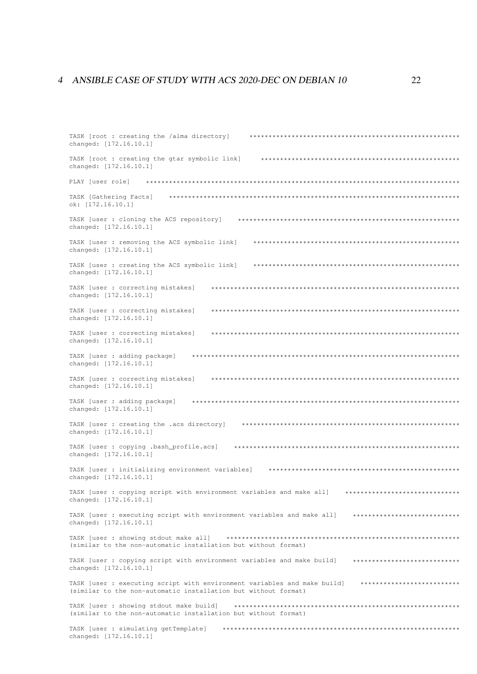### 4 ANSIBLE CASE OF STUDY WITH ACS 2020-DEC ON DEBIAN 10

| TASK [root : creating the /alma directory]<br>changed: [172.16.10.1]                                                                                                   |
|------------------------------------------------------------------------------------------------------------------------------------------------------------------------|
| TASK [root : creating the gtar symbolic link]<br>changed: [172.16.10.1]                                                                                                |
| PLAY [user role]                                                                                                                                                       |
| TASK [Gathering Facts]<br>ok: $[172.16.10.1]$                                                                                                                          |
| TASK [user : cloning the ACS repository]<br>changed: [172.16.10.1]                                                                                                     |
| TASK [user : removing the ACS symbolic link]<br>*************************************<br>changed: [172.16.10.1]                                                        |
| TASK [user : creating the ACS symbolic link]<br>changed: [172.16.10.1]                                                                                                 |
| TASK [user : correcting mistakes]<br>changed: [172.16.10.1]                                                                                                            |
| TASK [user : correcting mistakes]<br>changed: [172.16.10.1]                                                                                                            |
| TASK [user : correcting mistakes]<br>changed: [172.16.10.1]                                                                                                            |
| TASK [user : adding package]<br>* * * * * * * * * *<br>changed: [172.16.10.1]                                                                                          |
| TASK [user : correcting mistakes]<br>changed: [172.16.10.1]                                                                                                            |
| TASK [user : adding package]<br>changed: [172.16.10.1]                                                                                                                 |
| TASK [user : creating the .acs directory]<br>*********<br>changed: [172.16.10.1]                                                                                       |
| TASK [user : copying .bash_profile.acs]<br>changed: [172.16.10.1]                                                                                                      |
| TASK [user : initializing environment variables]<br>changed: [172.16.10.1]                                                                                             |
| TASK [user : copying script with environment variables and make all] *******************************<br>changed: [172.16.10.1]                                         |
| TASK [user : executing script with environment variables and make all] *****************************<br>changed: [172.16.10.1]                                         |
| (similar to the non-automatic installation but without format)                                                                                                         |
| TASK [user : copying script with environment variables and make build] *****************************<br>changed: [172.16.10.1]                                         |
| TASK [user : executing script with environment variables and make build] ***************************<br>(similar to the non-automatic installation but without format) |
| (similar to the non-automatic installation but without format)                                                                                                         |
| TASK [user : simulating getTemplate]<br>changed: [172.16.10.1]                                                                                                         |
|                                                                                                                                                                        |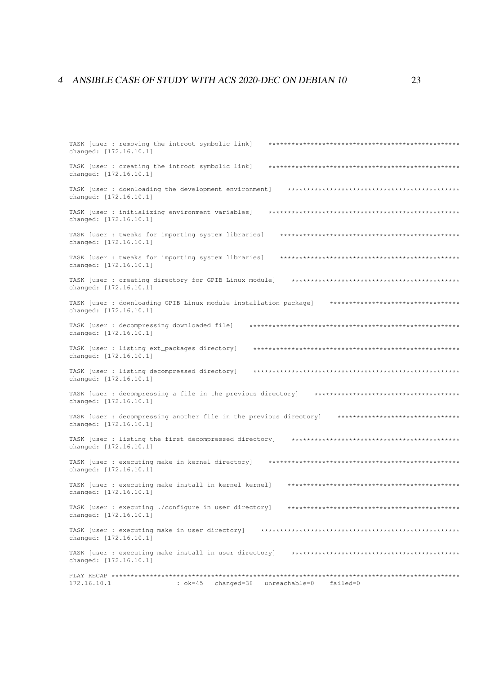#### 4 ANSIBLE CASE OF STUDY WITH ACS 2020-DEC ON DEBIAN 10

TASK [user : removing the introot symbolic link] changed: [172.16.10.1] TASK [user : creating the introot symbolic link] changed: [172.16.10.1] TASK [user : downloading the development environment] changed: [172.16.10.1] changed: [172.16.10.1] TASK [user : tweaks for importing system libraries] changed: [172.16.10.1] TASK [user : tweaks for importing system libraries] changed: [172.16.10.1] changed: [172.16.10.1] TASK [user : downloading GPIB Linux module installation package] \*\*\*\*\*\*\*\*\*\*\*\*\*\*\*\*\*\*\*\*\*\*\*\*\*\*\*\*\*\*\*\*\*\*\* changed: [172.16.10.1] changed: [172.16.10.1] TASK [user : listing ext\_packages directory] changed: [172.16.10.1] TASK [user : listing decompressed directory] changed: [172.16.10.1] changed: [172.16.10.1] TASK [user : decompressing another file in the previous directory] \*\*\*\*\*\*\*\*\*\*\*\*\*\*\*\*\*\*\*\*\*\*\*\*\*\*\*\*\*\*\*\*\* changed: [172.16.10.1] TASK [user : listing the first decompressed directory] changed: [172.16.10.1] changed: [172.16.10.1] TASK [user : executing make install in kernel kernel] changed: [172.16.10.1] TASK [user : executing ./configure in user directory] changed: [172.16.10.1] changed: [172.16.10.1] TASK [user : executing make install in user directory] changed: [172.16.10.11 : ok=45 changed=38 unreachable=0 failed=0 172.16.10.1